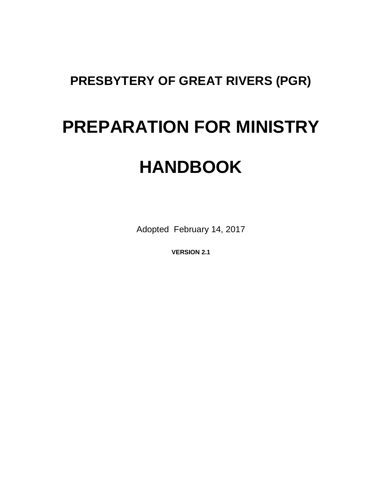## **PRESBYTERY OF GREAT RIVERS (PGR)**

# **PREPARATION FOR MINISTRY HANDBOOK**

Adopted February 14, 2017

**VERSION 2.1**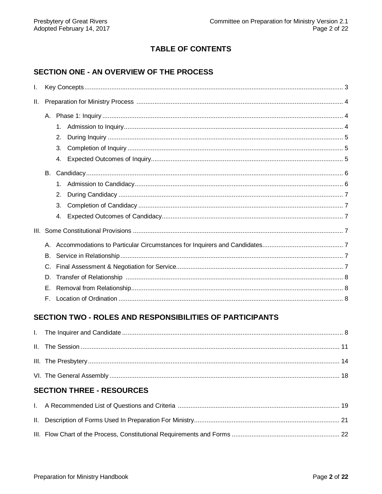## **TABLE OF CONTENTS**

## SECTION ONE - AN OVERVIEW OF THE PROCESS

| I.  |    |             |  |  |  |  |
|-----|----|-------------|--|--|--|--|
| ΙΙ. |    |             |  |  |  |  |
|     |    |             |  |  |  |  |
|     |    | $1_{\cdot}$ |  |  |  |  |
|     |    | 2.          |  |  |  |  |
|     |    | 3.          |  |  |  |  |
|     |    | 4.          |  |  |  |  |
|     | B. |             |  |  |  |  |
|     |    |             |  |  |  |  |
|     |    | 2.          |  |  |  |  |
|     |    | 3.          |  |  |  |  |
|     |    | 4.          |  |  |  |  |
|     |    |             |  |  |  |  |
|     |    |             |  |  |  |  |
| В.  |    |             |  |  |  |  |
|     |    |             |  |  |  |  |
| D.  |    |             |  |  |  |  |
| Е.  |    |             |  |  |  |  |
|     | Е. |             |  |  |  |  |

## SECTION TWO - ROLES AND RESPONSIBILITIES OF PARTICIPANTS

## **SECTION THREE - RESOURCES**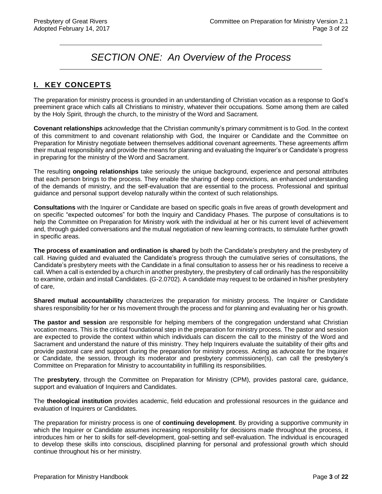## *SECTION ONE: An Overview of the Process*

## **I. KEY CONCEPTS**

The preparation for ministry process is grounded in an understanding of Christian vocation as a response to God's preeminent grace which calls all Christians to ministry, whatever their occupations. Some among them are called by the Holy Spirit, through the church, to the ministry of the Word and Sacrament.

**Covenant relationships** acknowledge that the Christian community's primary commitment is to God. In the context of this commitment to and covenant relationship with God, the Inquirer or Candidate and the Committee on Preparation for Ministry negotiate between themselves additional covenant agreements. These agreements affirm their mutual responsibility and provide the means for planning and evaluating the Inquirer's or Candidate's progress in preparing for the ministry of the Word and Sacrament.

The resulting **ongoing relationships** take seriously the unique background, experience and personal attributes that each person brings to the process. They enable the sharing of deep convictions, an enhanced understanding of the demands of ministry, and the self-evaluation that are essential to the process. Professional and spiritual guidance and personal support develop naturally within the context of such relationships.

**Consultations** with the Inquirer or Candidate are based on specific goals in five areas of growth development and on specific "expected outcomes" for both the Inquiry and Candidacy Phases. The purpose of consultations is to help the Committee on Preparation for Ministry work with the individual at her or his current level of achievement and, through guided conversations and the mutual negotiation of new learning contracts, to stimulate further growth in specific areas.

**The process of examination and ordination is shared** by both the Candidate's presbytery and the presbytery of call. Having guided and evaluated the Candidate's progress through the cumulative series of consultations, the Candidate's presbytery meets with the Candidate in a final consultation to assess her or his readiness to receive a call. When a call is extended by a church in another presbytery, the presbytery of call ordinarily has the responsibility to examine, ordain and install Candidates. (G-2.0702). A candidate may request to be ordained in his/her presbytery of care,

**Shared mutual accountability** characterizes the preparation for ministry process. The Inquirer or Candidate shares responsibility for her or his movement through the process and for planning and evaluating her or his growth.

**The pastor and session** are responsible for helping members of the congregation understand what Christian vocation means. This is the critical foundational step in the preparation for ministry process. The pastor and session are expected to provide the context within which individuals can discern the call to the ministry of the Word and Sacrament and understand the nature of this ministry. They help Inquirers evaluate the suitability of their gifts and provide pastoral care and support during the preparation for ministry process. Acting as advocate for the Inquirer or Candidate, the session, through its moderator and presbytery commissioner(s), can call the presbytery's Committee on Preparation for Ministry to accountability in fulfilling its responsibilities.

The **presbytery**, through the Committee on Preparation for Ministry (CPM), provides pastoral care, guidance, support and evaluation of Inquirers and Candidates.

The **theological institution** provides academic, field education and professional resources in the guidance and evaluation of Inquirers or Candidates.

The preparation for ministry process is one of **continuing development**. By providing a supportive community in which the Inquirer or Candidate assumes increasing responsibility for decisions made throughout the process, it introduces him or her to skills for self-development, goal-setting and self-evaluation. The individual is encouraged to develop these skills into conscious, disciplined planning for personal and professional growth which should continue throughout his or her ministry.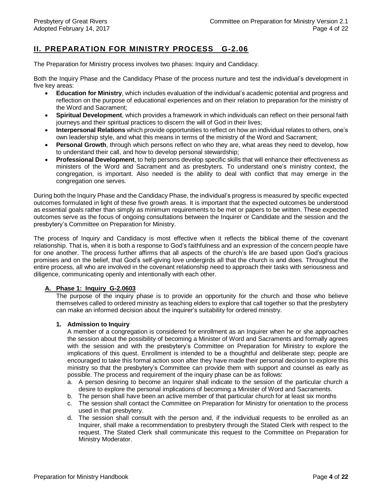## **II. PREPARATION FOR MINISTRY PROCESS G-2.06**

The Preparation for Ministry process involves two phases: Inquiry and Candidacy.

Both the Inquiry Phase and the Candidacy Phase of the process nurture and test the individual's development in five key areas:

- **Education for Ministry**, which includes evaluation of the individual's academic potential and progress and reflection on the purpose of educational experiences and on their relation to preparation for the ministry of the Word and Sacrament;
- **Spiritual Development**, which provides a framework in which individuals can reflect on their personal faith journeys and their spiritual practices to discern the will of God in their lives;
- **Interpersonal Relations** which provide opportunities to reflect on how an individual relates to others, one's own leadership style, and what this means in terms of the ministry of the Word and Sacrament;
- **Personal Growth**, through which persons reflect on who they are, what areas they need to develop, how to understand their call, and how to develop personal stewardship;
- **Professional Development**, to help persons develop specific skills that will enhance their effectiveness as ministers of the Word and Sacrament and as presbyters. To understand one's ministry context, the congregation, is important. Also needed is the ability to deal with conflict that may emerge in the congregation one serves.

During both the Inquiry Phase and the Candidacy Phase, the individual's progress is measured by specific expected outcomes formulated in light of these five growth areas. It is important that the expected outcomes be understood as essential goals rather than simply as minimum requirements to be met or papers to be written. These expected outcomes serve as the focus of ongoing consultations between the Inquirer or Candidate and the session and the presbytery's Committee on Preparation for Ministry.

The process of Inquiry and Candidacy is most effective when it reflects the biblical theme of the covenant relationship. That is, when it is both a response to God's faithfulness and an expression of the concern people have for one another. The process further affirms that all aspects of the church's life are based upon God's gracious promises and on the belief, that God's self-giving love undergirds all that the church is and does. Throughout the entire process, all who are involved in the covenant relationship need to approach their tasks with seriousness and diligence, communicating openly and intentionally with each other.

#### **A. Phase 1: Inquiry G-2.0603**

The purpose of the inquiry phase is to provide an opportunity for the church and those who believe themselves called to ordered ministry as teaching elders to explore that call together so that the presbytery can make an informed decision about the inquirer's suitability for ordered ministry.

#### **1. Admission to Inquiry**

A member of a congregation is considered for enrollment as an Inquirer when he or she approaches the session about the possibility of becoming a Minister of Word and Sacraments and formally agrees with the session and with the presbytery's Committee on Preparation for Ministry to explore the implications of this quest. Enrollment is intended to be a thoughtful and deliberate step; people are encouraged to take this formal action soon after they have made their personal decision to explore this ministry so that the presbytery's Committee can provide them with support and counsel as early as possible. The process and requirement of the inquiry phase can be as follows:

- a. A person desiring to become an Inquirer shall indicate to the session of the particular church a desire to explore the personal implications of becoming a Minister of Word and Sacraments.
- b. The person shall have been an active member of that particular church for at least six months
- c. The session shall contact the Committee on Preparation for Ministry for orientation to the process used in that presbytery.
- d. The session shall consult with the person and, if the individual requests to be enrolled as an Inquirer, shall make a recommendation to presbytery through the Stated Clerk with respect to the request. The Stated Clerk shall communicate this request to the Committee on Preparation for Ministry Moderator.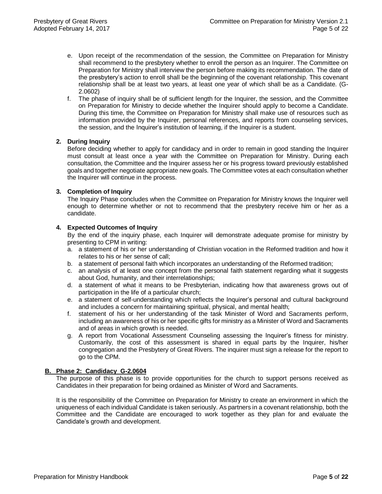- e. Upon receipt of the recommendation of the session, the Committee on Preparation for Ministry shall recommend to the presbytery whether to enroll the person as an Inquirer. The Committee on Preparation for Ministry shall interview the person before making its recommendation. The date of the presbytery's action to enroll shall be the beginning of the covenant relationship. This covenant relationship shall be at least two years, at least one year of which shall be as a Candidate. (G-2.0602)
- f. The phase of inquiry shall be of sufficient length for the Inquirer, the session, and the Committee on Preparation for Ministry to decide whether the Inquirer should apply to become a Candidate. During this time, the Committee on Preparation for Ministry shall make use of resources such as information provided by the Inquirer, personal references, and reports from counseling services, the session, and the Inquirer's institution of learning, if the Inquirer is a student.

#### **2. During Inquiry**

Before deciding whether to apply for candidacy and in order to remain in good standing the Inquirer must consult at least once a year with the Committee on Preparation for Ministry. During each consultation, the Committee and the Inquirer assess her or his progress toward previously established goals and together negotiate appropriate new goals. The Committee votes at each consultation whether the Inquirer will continue in the process.

#### **3. Completion of Inquiry**

The Inquiry Phase concludes when the Committee on Preparation for Ministry knows the Inquirer well enough to determine whether or not to recommend that the presbytery receive him or her as a candidate.

#### **4. Expected Outcomes of Inquiry**

By the end of the inquiry phase, each Inquirer will demonstrate adequate promise for ministry by presenting to CPM in writing:

- a. a statement of his or her understanding of Christian vocation in the Reformed tradition and how it relates to his or her sense of call;
- b. a statement of personal faith which incorporates an understanding of the Reformed tradition;
- c. an analysis of at least one concept from the personal faith statement regarding what it suggests about God, humanity, and their interrelationships;
- d. a statement of what it means to be Presbyterian, indicating how that awareness grows out of participation in the life of a particular church;
- e. a statement of self-understanding which reflects the Inquirer's personal and cultural background and includes a concern for maintaining spiritual, physical, and mental health;
- f. statement of his or her understanding of the task Minister of Word and Sacraments perform, including an awareness of his or her specific gifts for ministry as a Minister of Word and Sacraments and of areas in which growth is needed.
- g. A report from Vocational Assessment Counseling assessing the Inquirer's fitness for ministry. Customarily, the cost of this assessment is shared in equal parts by the Inquirer, his/her congregation and the Presbytery of Great Rivers. The inquirer must sign a release for the report to go to the CPM.

#### **B. Phase 2: Candidacy G-2.0604**

The purpose of this phase is to provide opportunities for the church to support persons received as Candidates in their preparation for being ordained as Minister of Word and Sacraments.

It is the responsibility of the Committee on Preparation for Ministry to create an environment in which the uniqueness of each individual Candidate is taken seriously. As partners in a covenant relationship, both the Committee and the Candidate are encouraged to work together as they plan for and evaluate the Candidate's growth and development.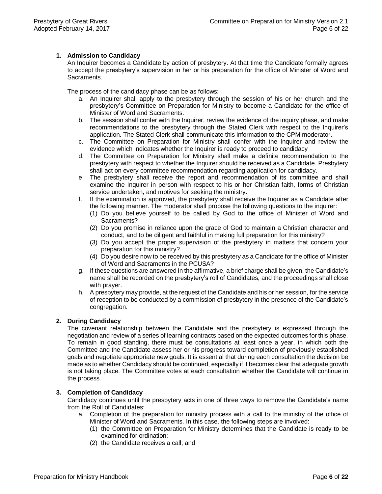#### **1. Admission to Candidacy**

An Inquirer becomes a Candidate by action of presbytery. At that time the Candidate formally agrees to accept the presbytery's supervision in her or his preparation for the office of Minister of Word and Sacraments.

The process of the candidacy phase can be as follows:

- a. An Inquirer shall apply to the presbytery through the session of his or her church and the presbytery's Committee on Preparation for Ministry to become a Candidate for the office of Minister of Word and Sacraments.
- b. The session shall confer with the Inquirer, review the evidence of the inquiry phase, and make recommendations to the presbytery through the Stated Clerk with respect to the Inquirer's application. The Stated Clerk shall communicate this information to the CPM moderator.
- c. The Committee on Preparation for Ministry shall confer with the Inquirer and review the evidence which indicates whether the Inquirer is ready to proceed to candidacy
- d. The Committee on Preparation for Ministry shall make a definite recommendation to the presbytery with respect to whether the Inquirer should be received as a Candidate. Presbytery shall act on every committee recommendation regarding application for candidacy.
- e The presbytery shall receive the report and recommendation of its committee and shall examine the Inquirer in person with respect to his or her Christian faith, forms of Christian service undertaken, and motives for seeking the ministry.
- f. If the examination is approved, the presbytery shall receive the Inquirer as a Candidate after the following manner. The moderator shall propose the following questions to the inquirer:
	- (1) Do you believe yourself to be called by God to the office of Minister of Word and Sacraments?
	- (2) Do you promise in reliance upon the grace of God to maintain a Christian character and conduct, and to be diligent and faithful in making full preparation for this ministry?
	- (3) Do you accept the proper supervision of the presbytery in matters that concern your preparation for this ministry?
	- (4) Do you desire now to be received by this presbytery as a Candidate for the office of Minister of Word and Sacraments in the PCUSA?
- g. If these questions are answered in the affirmative, a brief charge shall be given, the Candidate's name shall be recorded on the presbytery's roll of Candidates, and the proceedings shall close with prayer.
- h. A presbytery may provide, at the request of the Candidate and his or her session, for the service of reception to be conducted by a commission of presbytery in the presence of the Candidate's congregation.

#### **2. During Candidacy**

The covenant relationship between the Candidate and the presbytery is expressed through the negotiation and review of a series of learning contracts based on the expected outcomes for this phase. To remain in good standing, there must be consultations at least once a year, in which both the Committee and the Candidate assess her or his progress toward completion of previously established goals and negotiate appropriate new goals. It is essential that during each consultation the decision be made as to whether Candidacy should be continued, especially if it becomes clear that adequate growth is not taking place. The Committee votes at each consultation whether the Candidate will continue in the process.

#### **3. Completion of Candidacy**

Candidacy continues until the presbytery acts in one of three ways to remove the Candidate's name from the Roll of Candidates:

- a. Completion of the preparation for ministry process with a call to the ministry of the office of Minister of Word and Sacraments. In this case, the following steps are involved:
	- (1) the Committee on Preparation for Ministry determines that the Candidate is ready to be examined for ordination;
	- (2) the Candidate receives a call; and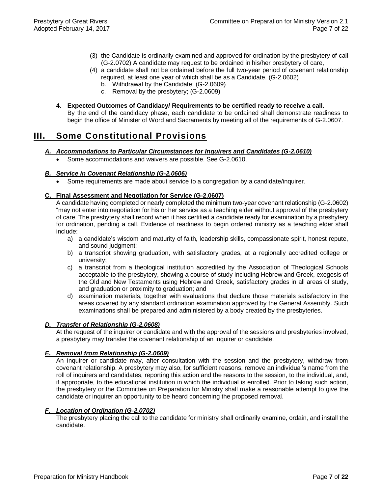- (3) the Candidate is ordinarily examined and approved for ordination by the presbytery of call (G-2.0702) A candidate may request to be ordained in his/her presbytery of care,
- (4) a candidate shall not be ordained before the full two-year period of covenant relationship required, at least one year of which shall be as a Candidate. (G-2.0602)
	- b. Withdrawal by the Candidate; (G-2.0609)
	- c. Removal by the presbytery; (G-2.0609)
- **4. Expected Outcomes of Candidacy/ Requirements to be certified ready to receive a call.** By the end of the candidacy phase, each candidate to be ordained shall demonstrate readiness to begin the office of Minister of Word and Sacraments by meeting all of the requirements of G-2.0607.

## **III. Some Constitutional Provisions**

#### *A. Accommodations to Particular Circumstances for Inquirers and Candidates (G-2.0610)*

• Some accommodations and waivers are possible. See G-2.0610.

#### *B. Service in Covenant Relationship (G-2.0606)*

• Some requirements are made about service to a congregation by a candidate/inquirer.

#### **C. Final Assessment and Negotiation for Service (G-2.0607)**

A candidate having completed or nearly completed the minimum two-year covenant relationship (G-2.0602) "may not enter into negotiation for his or her service as a teaching elder without approval of the presbytery of care. The presbytery shall record when it has certified a candidate ready for examination by a presbytery for ordination, pending a call. Evidence of readiness to begin ordered ministry as a teaching elder shall include:

- a) a candidate's wisdom and maturity of faith, leadership skills, compassionate spirit, honest repute, and sound judgment;
- b) a transcript showing graduation, with satisfactory grades, at a regionally accredited college or university;
- c) a transcript from a theological institution accredited by the Association of Theological Schools acceptable to the presbytery, showing a course of study including Hebrew and Greek, exegesis of the Old and New Testaments using Hebrew and Greek, satisfactory grades in all areas of study, and graduation or proximity to graduation; and
- d) examination materials, together with evaluations that declare those materials satisfactory in the areas covered by any standard ordination examination approved by the General Assembly. Such examinations shall be prepared and administered by a body created by the presbyteries.

#### *D. Transfer of Relationship (G-2.0608)*

At the request of the inquirer or candidate and with the approval of the sessions and presbyteries involved, a presbytery may transfer the covenant relationship of an inquirer or candidate.

#### *E. Removal from Relationship (G-2.0609)*

An inquirer or candidate may, after consultation with the session and the presbytery, withdraw from covenant relationship. A presbytery may also, for sufficient reasons, remove an individual's name from the roll of inquirers and candidates, reporting this action and the reasons to the session, to the individual, and, if appropriate, to the educational institution in which the individual is enrolled. Prior to taking such action, the presbytery or the Committee on Preparation for Ministry shall make a reasonable attempt to give the candidate or inquirer an opportunity to be heard concerning the proposed removal.

#### *F. Location of Ordination (G-2.0702)*

The presbytery placing the call to the candidate for ministry shall ordinarily examine, ordain, and install the candidate.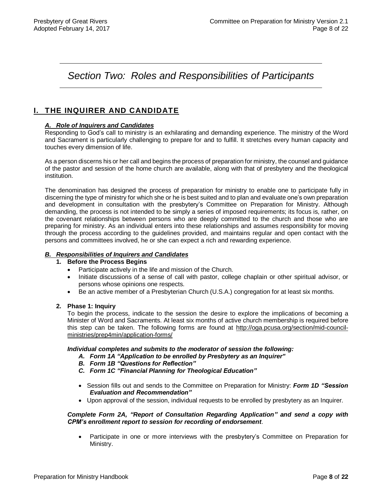## *Section Two: Roles and Responsibilities of Participants*

## **I. THE INQUIRER AND CANDIDATE**

#### *A. Role of Inquirers and Candidates*

Responding to God's call to ministry is an exhilarating and demanding experience. The ministry of the Word and Sacrament is particularly challenging to prepare for and to fulfill. It stretches every human capacity and touches every dimension of life.

As a person discerns his or her call and begins the process of preparation for ministry, the counsel and guidance of the pastor and session of the home church are available, along with that of presbytery and the theological institution.

The denomination has designed the process of preparation for ministry to enable one to participate fully in discerning the type of ministry for which she or he is best suited and to plan and evaluate one's own preparation and development in consultation with the presbytery's Committee on Preparation for Ministry. Although demanding, the process is not intended to be simply a series of imposed requirements; its focus is, rather, on the covenant relationships between persons who are deeply committed to the church and those who are preparing for ministry. As an individual enters into these relationships and assumes responsibility for moving through the process according to the guidelines provided, and maintains regular and open contact with the persons and committees involved, he or she can expect a rich and rewarding experience.

#### *B. Responsibilities of Inquirers and Candidates*

- **1. Before the Process Begins**
	- Participate actively in the life and mission of the Church.
	- Initiate discussions of a sense of call with pastor, college chaplain or other spiritual advisor, or persons whose opinions one respects.
	- Be an active member of a Presbyterian Church (U.S.A.) congregation for at least six months.

#### **2. Phase 1: Inquiry**

To begin the process, indicate to the session the desire to explore the implications of becoming a Minister of Word and Sacraments. At least six months of active church membership is required before this step can be taken. The following forms are found at [http://oga.pcusa.org/section/mid-council](http://oga.pcusa.org/section/mid-council-ministries/prep4min/application-forms/)[ministries/prep4min/application-forms/](http://oga.pcusa.org/section/mid-council-ministries/prep4min/application-forms/)

#### *Individual completes and submits to the moderator of session the following:*

- *A. Form 1A "Application to be enrolled by Presbytery as an Inquirer"*
- *B. Form 1B "Questions for Reflection"*
- *C. Form 1C "Financial Planning for Theological Education"*
- Session fills out and sends to the Committee on Preparation for Ministry: *Form 1D "Session Evaluation and Recommendation"*
- Upon approval of the session, individual requests to be enrolled by presbytery as an Inquirer.

#### *Complete Form 2A, "Report of Consultation Regarding Application" and send a copy with CPM's enrollment report to session for recording of endorsement*.

• Participate in one or more interviews with the presbytery's Committee on Preparation for Ministry.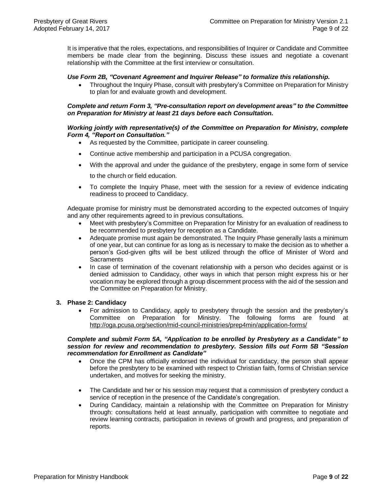It is imperative that the roles, expectations, and responsibilities of Inquirer or Candidate and Committee members be made clear from the beginning. Discuss these issues and negotiate a covenant relationship with the Committee at the first interview or consultation.

#### *Use Form 2B, "Covenant Agreement and Inquirer Release" to formalize this relationship.*

• Throughout the Inquiry Phase, consult with presbytery's Committee on Preparation for Ministry to plan for and evaluate growth and development.

#### *Complete and return Form 3, "Pre-consultation report on development areas" to the Committee on Preparation for Ministry at least 21 days before each Consultation.*

#### *Working jointly with representative(s) of the Committee on Preparation for Ministry, complete Form 4, "Report on Consultation."*

- As requested by the Committee, participate in career counseling.
- Continue active membership and participation in a PCUSA congregation.
- With the approval and under the guidance of the presbytery, engage in some form of service to the church or field education.
- To complete the Inquiry Phase, meet with the session for a review of evidence indicating readiness to proceed to Candidacy.

Adequate promise for ministry must be demonstrated according to the expected outcomes of Inquiry and any other requirements agreed to in previous consultations.

- Meet with presbytery's Committee on Preparation for Ministry for an evaluation of readiness to be recommended to presbytery for reception as a Candidate.
- Adequate promise must again be demonstrated. The Inquiry Phase generally lasts a minimum of one year, but can continue for as long as is necessary to make the decision as to whether a person's God-given gifts will be best utilized through the office of Minister of Word and **Sacraments**
- In case of termination of the covenant relationship with a person who decides against or is denied admission to Candidacy, other ways in which that person might express his or her vocation may be explored through a group discernment process with the aid of the session and the Committee on Preparation for Ministry.

#### **3. Phase 2: Candidacy**

• For admission to Candidacy, apply to presbytery through the session and the presbytery's Committee on Preparation for Ministry. The following forms are found at <http://oga.pcusa.org/section/mid-council-ministries/prep4min/application-forms/>

#### *Complete and submit Form 5A, "Application to be enrolled by Presbytery as a Candidate" to session for review and recommendation to presbytery. Session fills out Form 5B "Session recommendation for Enrollment as Candidate"*

- Once the CPM has officially endorsed the individual for candidacy, the person shall appear before the presbytery to be examined with respect to Christian faith, forms of Christian service undertaken, and motives for seeking the ministry.
- The Candidate and her or his session may request that a commission of presbytery conduct a service of reception in the presence of the Candidate's congregation.
- During Candidacy, maintain a relationship with the Committee on Preparation for Ministry through: consultations held at least annually, participation with committee to negotiate and review learning contracts, participation in reviews of growth and progress, and preparation of reports.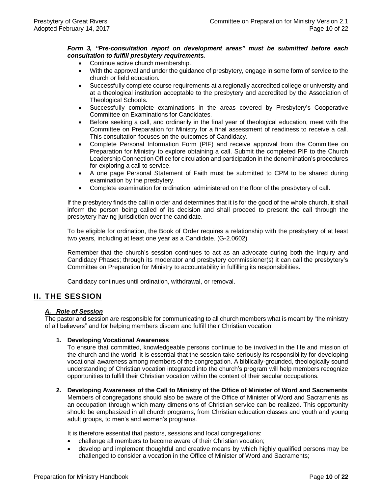#### *Form 3, "Pre-consultation report on development areas" must be submitted before each consultation to fulfill presbytery requirements.*

- Continue active church membership.
- With the approval and under the guidance of presbytery, engage in some form of service to the church or field education.
- Successfully complete course requirements at a regionally accredited college or university and at a theological institution acceptable to the presbytery and accredited by the Association of Theological Schools.
- Successfully complete examinations in the areas covered by Presbytery's Cooperative Committee on Examinations for Candidates.
- Before seeking a call, and ordinarily in the final year of theological education, meet with the Committee on Preparation for Ministry for a final assessment of readiness to receive a call. This consultation focuses on the outcomes of Candidacy.
- Complete Personal Information Form (PIF) and receive approval from the Committee on Preparation for Ministry to explore obtaining a call. Submit the completed PIF to the Church Leadership Connection Office for circulation and participation in the denomination's procedures for exploring a call to service.
- A one page Personal Statement of Faith must be submitted to CPM to be shared during examination by the presbytery.
- Complete examination for ordination, administered on the floor of the presbytery of call.

If the presbytery finds the call in order and determines that it is for the good of the whole church, it shall inform the person being called of its decision and shall proceed to present the call through the presbytery having jurisdiction over the candidate.

To be eligible for ordination, the Book of Order requires a relationship with the presbytery of at least two years, including at least one year as a Candidate. (G-2.0602)

Remember that the church's session continues to act as an advocate during both the Inquiry and Candidacy Phases; through its moderator and presbytery commissioner(s) it can call the presbytery's Committee on Preparation for Ministry to accountability in fulfilling its responsibilities.

Candidacy continues until ordination, withdrawal, or removal.

### **II. THE SESSION**

#### *A. Role of Session*

The pastor and session are responsible for communicating to all church members what is meant by "the ministry of all believers" and for helping members discern and fulfill their Christian vocation.

#### **1. Developing Vocational Awareness**

To ensure that committed, knowledgeable persons continue to be involved in the life and mission of the church and the world, it is essential that the session take seriously its responsibility for developing vocational awareness among members of the congregation. A biblically-grounded, theologically sound understanding of Christian vocation integrated into the church's program will help members recognize opportunities to fulfill their Christian vocation within the context of their secular occupations.

**2. Developing Awareness of the Call to Ministry of the Office of Minister of Word and Sacraments** Members of congregations should also be aware of the Office of Minister of Word and Sacraments as an occupation through which many dimensions of Christian service can be realized. This opportunity should be emphasized in all church programs, from Christian education classes and youth and young adult groups, to men's and women's programs.

It is therefore essential that pastors, sessions and local congregations:

- challenge all members to become aware of their Christian vocation;
- develop and implement thoughtful and creative means by which highly qualified persons may be challenged to consider a vocation in the Office of Minister of Word and Sacraments;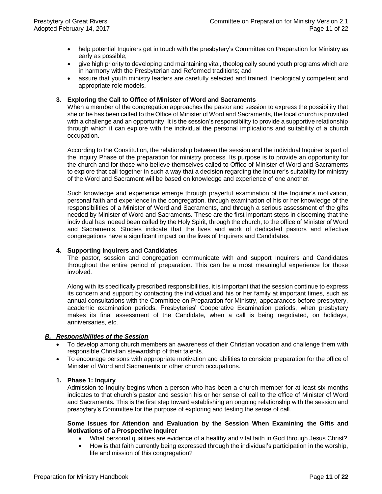- help potential Inquirers get in touch with the presbytery's Committee on Preparation for Ministry as early as possible;
- give high priority to developing and maintaining vital, theologically sound youth programs which are in harmony with the Presbyterian and Reformed traditions; and
- assure that youth ministry leaders are carefully selected and trained, theologically competent and appropriate role models.

#### **3. Exploring the Call to Office of Minister of Word and Sacraments**

When a member of the congregation approaches the pastor and session to express the possibility that she or he has been called to the Office of Minister of Word and Sacraments, the local church is provided with a challenge and an opportunity. It is the session's responsibility to provide a supportive relationship through which it can explore with the individual the personal implications and suitability of a church occupation.

According to the Constitution, the relationship between the session and the individual Inquirer is part of the Inquiry Phase of the preparation for ministry process. Its purpose is to provide an opportunity for the church and for those who believe themselves called to Office of Minister of Word and Sacraments to explore that call together in such a way that a decision regarding the Inquirer's suitability for ministry of the Word and Sacrament will be based on knowledge and experience of one another.

Such knowledge and experience emerge through prayerful examination of the Inquirer's motivation, personal faith and experience in the congregation, through examination of his or her knowledge of the responsibilities of a Minister of Word and Sacraments, and through a serious assessment of the gifts needed by Minister of Word and Sacraments. These are the first important steps in discerning that the individual has indeed been called by the Holy Spirit, through the church, to the office of Minister of Word and Sacraments. Studies indicate that the lives and work of dedicated pastors and effective congregations have a significant impact on the lives of Inquirers and Candidates.

#### **4. Supporting Inquirers and Candidates**

The pastor, session and congregation communicate with and support Inquirers and Candidates throughout the entire period of preparation. This can be a most meaningful experience for those involved.

Along with its specifically prescribed responsibilities, it is important that the session continue to express its concern and support by contacting the individual and his or her family at important times, such as annual consultations with the Committee on Preparation for Ministry, appearances before presbytery, academic examination periods, Presbyteries' Cooperative Examination periods, when presbytery makes its final assessment of the Candidate, when a call is being negotiated, on holidays, anniversaries, etc.

#### *B. Responsibilities of the Session*

- To develop among church members an awareness of their Christian vocation and challenge them with responsible Christian stewardship of their talents.
- To encourage persons with appropriate motivation and abilities to consider preparation for the office of Minister of Word and Sacraments or other church occupations.

#### **1. Phase 1: Inquiry**

Admission to Inquiry begins when a person who has been a church member for at least six months indicates to that church's pastor and session his or her sense of call to the office of Minister of Word and Sacraments. This is the first step toward establishing an ongoing relationship with the session and presbytery's Committee for the purpose of exploring and testing the sense of call.

#### **Some Issues for Attention and Evaluation by the Session When Examining the Gifts and Motivations of a Prospective Inquirer**

- What personal qualities are evidence of a healthy and vital faith in God through Jesus Christ?
- How is that faith currently being expressed through the individual's participation in the worship, life and mission of this congregation?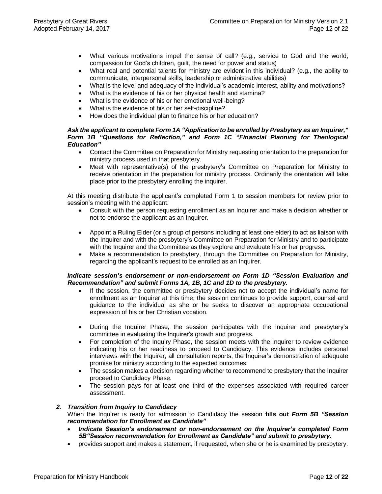- What various motivations impel the sense of call? (e.g., service to God and the world, compassion for God's children, guilt, the need for power and status)
- What real and potential talents for ministry are evident in this individual? (e.g., the ability to communicate, interpersonal skills, leadership or administrative abilities)
- What is the level and adequacy of the individual's academic interest, ability and motivations?
- What is the evidence of his or her physical health and stamina?
- What is the evidence of his or her emotional well-being?
- What is the evidence of his or her self-discipline?
- How does the individual plan to finance his or her education?

#### *Ask the applicant to complete Form 1A "Application to be enrolled by Presbytery as an Inquirer," Form 1B "Questions for Reflection," and Form 1C "Financial Planning for Theological Education"*

- Contact the Committee on Preparation for Ministry requesting orientation to the preparation for ministry process used in that presbytery.
- Meet with representative(s) of the presbytery's Committee on Preparation for Ministry to receive orientation in the preparation for ministry process. Ordinarily the orientation will take place prior to the presbytery enrolling the inquirer.

At this meeting distribute the applicant's completed Form 1 to session members for review prior to session's meeting with the applicant.

- Consult with the person requesting enrollment as an Inquirer and make a decision whether or not to endorse the applicant as an Inquirer.
- Appoint a Ruling Elder (or a group of persons including at least one elder) to act as liaison with the Inquirer and with the presbytery's Committee on Preparation for Ministry and to participate with the Inquirer and the Committee as they explore and evaluate his or her progress.
- Make a recommendation to presbytery, through the Committee on Preparation for Ministry, regarding the applicant's request to be enrolled as an Inquirer.

#### *Indicate session's endorsement or non-endorsement on Form 1D "Session Evaluation and Recommendation" and submit Forms 1A, 1B, 1C and 1D to the presbytery.*

- If the session, the committee or presbytery decides not to accept the individual's name for enrollment as an Inquirer at this time, the session continues to provide support, counsel and guidance to the individual as she or he seeks to discover an appropriate occupational expression of his or her Christian vocation.
- During the Inquirer Phase, the session participates with the inquirer and presbytery's committee in evaluating the Inquirer's growth and progress.
- For completion of the Inquiry Phase, the session meets with the Inquirer to review evidence indicating his or her readiness to proceed to Candidacy. This evidence includes personal interviews with the Inquirer, all consultation reports, the Inquirer's demonstration of adequate promise for ministry according to the expected outcomes.
- The session makes a decision regarding whether to recommend to presbytery that the Inquirer proceed to Candidacy Phase.
- The session pays for at least one third of the expenses associated with required career assessment.

#### *2. Transition from Inquiry to Candidacy*

When the Inquirer is ready for admission to Candidacy the session **fills out** *Form 5B "Session recommendation for Enrollment as Candidate"*

- *Indicate Session's endorsement or non-endorsement on the Inquirer's completed Form 5B"Session recommendation for Enrollment as Candidate" and submit to presbytery.*
- provides support and makes a statement, if requested, when she or he is examined by presbytery.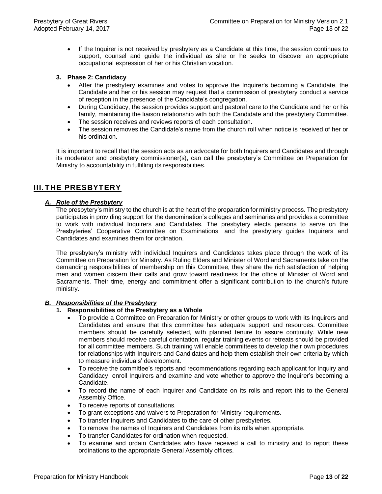• If the Inquirer is not received by presbytery as a Candidate at this time, the session continues to support, counsel and guide the individual as she or he seeks to discover an appropriate occupational expression of her or his Christian vocation.

#### **3. Phase 2: Candidacy**

- After the presbytery examines and votes to approve the Inquirer's becoming a Candidate, the Candidate and her or his session may request that a commission of presbytery conduct a service of reception in the presence of the Candidate's congregation.
- During Candidacy, the session provides support and pastoral care to the Candidate and her or his family, maintaining the liaison relationship with both the Candidate and the presbytery Committee.
- The session receives and reviews reports of each consultation.
- The session removes the Candidate's name from the church roll when notice is received of her or his ordination.

It is important to recall that the session acts as an advocate for both Inquirers and Candidates and through its moderator and presbytery commissioner(s), can call the presbytery's Committee on Preparation for Ministry to accountability in fulfilling its responsibilities.

## **III. THE PRESBYTERY**

#### *A. Role of the Presbytery*

The presbytery's ministry to the church is at the heart of the preparation for ministry process. The presbytery participates in providing support for the denomination's colleges and seminaries and provides a committee to work with individual Inquirers and Candidates. The presbytery elects persons to serve on the Presbyteries' Cooperative Committee on Examinations, and the presbytery guides Inquirers and Candidates and examines them for ordination.

The presbytery's ministry with individual Inquirers and Candidates takes place through the work of its Committee on Preparation for Ministry. As Ruling Elders and Minister of Word and Sacraments take on the demanding responsibilities of membership on this Committee, they share the rich satisfaction of helping men and women discern their calls and grow toward readiness for the office of Minister of Word and Sacraments. Their time, energy and commitment offer a significant contribution to the church's future ministry.

#### *B. Responsibilities of the Presbytery*

#### **1. Responsibilities of the Presbytery as a Whole**

- To provide a Committee on Preparation for Ministry or other groups to work with its Inquirers and Candidates and ensure that this committee has adequate support and resources. Committee members should be carefully selected, with planned tenure to assure continuity. While new members should receive careful orientation, regular training events or retreats should be provided for all committee members. Such training will enable committees to develop their own procedures for relationships with Inquirers and Candidates and help them establish their own criteria by which to measure individuals' development.
- To receive the committee's reports and recommendations regarding each applicant for Inquiry and Candidacy; enroll Inquirers and examine and vote whether to approve the Inquirer's becoming a Candidate.
- To record the name of each Inquirer and Candidate on its rolls and report this to the General Assembly Office.
- To receive reports of consultations.
- To grant exceptions and waivers to Preparation for Ministry requirements.
- To transfer Inquirers and Candidates to the care of other presbyteries.
- To remove the names of Inquirers and Candidates from its rolls when appropriate.
- To transfer Candidates for ordination when requested.
- To examine and ordain Candidates who have received a call to ministry and to report these ordinations to the appropriate General Assembly offices.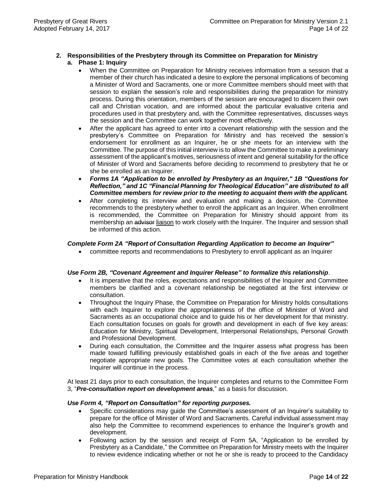#### **2. Responsibilities of the Presbytery through its Committee on Preparation for Ministry**

#### **a. Phase 1: Inquiry**

- When the Committee on Preparation for Ministry receives information from a session that a member of their church has indicated a desire to explore the personal implications of becoming a Minister of Word and Sacraments, one or more Committee members should meet with that session to explain the session's role and responsibilities during the preparation for ministry process. During this orientation, members of the session are encouraged to discern their own call and Christian vocation, and are informed about the particular evaluative criteria and procedures used in that presbytery and, with the Committee representatives, discusses ways the session and the Committee can work together most effectively.
- After the applicant has agreed to enter into a covenant relationship with the session and the presbytery's Committee on Preparation for Ministry and has received the session's endorsement for enrollment as an Inquirer, he or she meets for an interview with the Committee. The purpose of this initial interview is to allow the Committee to make a preliminary assessment of the applicant's motives, seriousness of intent and general suitability for the office of Minister of Word and Sacraments before deciding to recommend to presbytery that he or she be enrolled as an Inquirer.
- *Forms 1A "Application to be enrolled by Presbytery as an Inquirer," 1B "Questions for Reflection," and 1C "Financial Planning for Theological Education" are distributed to all Committee members for review prior to the meeting to acquaint them with the applicant.*
- After completing its interview and evaluation and making a decision, the Committee recommends to the presbytery whether to enroll the applicant as an Inquirer. When enrollment is recommended, the Committee on Preparation for Ministry should appoint from its membership an advisor liaison to work closely with the Inquirer. The Inquirer and session shall be informed of this action.

#### *Complete Form 2A "Report of Consultation Regarding Application to become an Inquirer"*

• committee reports and recommendations to Presbytery to enroll applicant as an Inquirer

#### *Use Form 2B, "Covenant Agreement and Inquirer Release" to formalize this relationship*.

- It is imperative that the roles, expectations and responsibilities of the Inquirer and Committee members be clarified and a covenant relationship be negotiated at the first interview or consultation.
- Throughout the Inquiry Phase, the Committee on Preparation for Ministry holds consultations with each Inquirer to explore the appropriateness of the office of Minister of Word and Sacraments as an occupational choice and to guide his or her development for that ministry. Each consultation focuses on goals for growth and development in each of five key areas: Education for Ministry, Spiritual Development, Interpersonal Relationships, Personal Growth and Professional Development.
- During each consultation, the Committee and the Inquirer assess what progress has been made toward fulfilling previously established goals in each of the five areas and together negotiate appropriate new goals. The Committee votes at each consultation whether the Inquirer will continue in the process.

At least 21 days prior to each consultation, the Inquirer completes and returns to the Committee Form 3, "*Pre-consultation report on development areas*," as a basis for discussion.

#### *Use Form 4, "Report on Consultation" for reporting purposes.*

- Specific considerations may guide the Committee's assessment of an Inquirer's suitability to prepare for the office of Minister of Word and Sacraments. Careful individual assessment may also help the Committee to recommend experiences to enhance the Inquirer's growth and development.
- Following action by the session and receipt of Form 5A, "Application to be enrolled by Presbytery as a Candidate," the Committee on Preparation for Ministry meets with the Inquirer to review evidence indicating whether or not he or she is ready to proceed to the Candidacy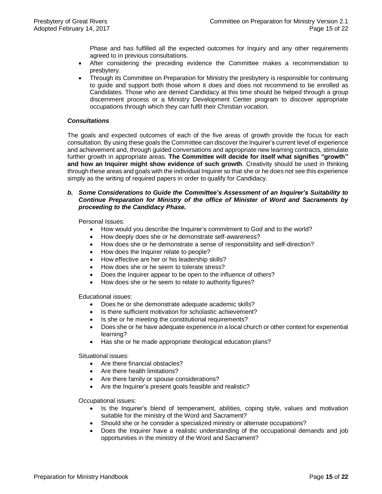Phase and has fulfilled all the expected outcomes for Inquiry and any other requirements agreed to in previous consultations.

- After considering the preceding evidence the Committee makes a recommendation to presbytery.
- Through its Committee on Preparation for Ministry the presbytery is responsible for continuing to guide and support both those whom it does and does not recommend to be enrolled as Candidates. Those who are denied Candidacy at this time should be helped through a group discernment process or a Ministry Development Center program to discover appropriate occupations through which they can fulfil their Christian vocation.

#### *Consultations*

The goals and expected outcomes of each of the five areas of growth provide the focus for each consultation. By using these goals the Committee can discover the Inquirer's current level of experience and achievement and, through guided conversations and appropriate new learning contracts, stimulate further growth in appropriate areas. **The Committee will decide for itself what signifies "growth" and how an Inquirer might show evidence of such growth**. Creativity should be used in thinking through these areas and goals with the individual Inquirer so that she or he does not see this experience simply as the writing of required papers in order to qualify for Candidacy.

#### *b. Some Considerations to Guide the Committee's Assessment of an Inquirer's Suitability to Continue Preparation for Ministry of the office of Minister of Word and Sacraments by proceeding to the Candidacy Phase.*

Personal Issues:

- How would you describe the Inquirer's commitment to God and to the world?
- How deeply does she or he demonstrate self-awareness?
- How does she or he demonstrate a sense of responsibility and self-direction?
- How does the Inquirer relate to people?
- How effective are her or his leadership skills?
- How does she or he seem to tolerate stress?
- Does the Inquirer appear to be open to the influence of others?
- How does she or he seem to relate to authority figures?

Educational issues:

- Does he or she demonstrate adequate academic skills?
- Is there sufficient motivation for scholastic achievement?
- Is she or he meeting the constitutional requirements?
- Does she or he have adequate experience in a local church or other context for experiential learning?
- Has she or he made appropriate theological education plans?

Situational issues:

- Are there financial obstacles?
- Are there health limitations?
- Are there family or spouse considerations?
- Are the Inquirer's present goals feasible and realistic?

Occupational issues:

- Is the Inquirer's blend of temperament, abilities, coping style, values and motivation suitable for the ministry of the Word and Sacrament?
- Should she or he consider a specialized ministry or alternate occupations?
- Does the Inquirer have a realistic understanding of the occupational demands and job opportunities in the ministry of the Word and Sacrament?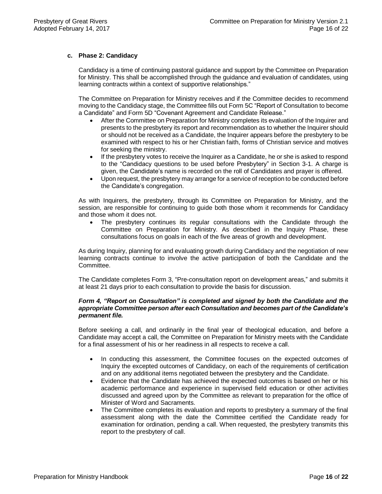#### **c. Phase 2: Candidacy**

Candidacy is a time of continuing pastoral guidance and support by the Committee on Preparation for Ministry. This shall be accomplished through the guidance and evaluation of candidates, using learning contracts within a context of supportive relationships."

The Committee on Preparation for Ministry receives and if the Committee decides to recommend moving to the Candidacy stage, the Committee fills out Form 5C "Report of Consultation to become a Candidate" and Form 5D "Covenant Agreement and Candidate Release."

- After the Committee on Preparation for Ministry completes its evaluation of the Inquirer and presents to the presbytery its report and recommendation as to whether the Inquirer should or should not be received as a Candidate, the Inquirer appears before the presbytery to be examined with respect to his or her Christian faith, forms of Christian service and motives for seeking the ministry.
- If the presbytery votes to receive the Inquirer as a Candidate, he or she is asked to respond to the "Candidacy questions to be used before Presbytery" in Section 3-1. A charge is given, the Candidate's name is recorded on the roll of Candidates and prayer is offered.
- Upon request, the presbytery may arrange for a service of reception to be conducted before the Candidate's congregation.

As with Inquirers, the presbytery, through its Committee on Preparation for Ministry, and the session, are responsible for continuing to guide both those whom it recommends for Candidacy and those whom it does not.

The presbytery continues its regular consultations with the Candidate through the Committee on Preparation for Ministry. As described in the Inquiry Phase, these consultations focus on goals in each of the five areas of growth and development.

As during Inquiry, planning for and evaluating growth during Candidacy and the negotiation of new learning contracts continue to involve the active participation of both the Candidate and the Committee.

The Candidate completes Form 3, "Pre-consultation report on development areas," and submits it at least 21 days prior to each consultation to provide the basis for discussion.

#### *Form 4, "Report on Consultation" is completed and signed by both the Candidate and the appropriate Committee person after each Consultation and becomes part of the Candidate's permanent file.*

Before seeking a call, and ordinarily in the final year of theological education, and before a Candidate may accept a call, the Committee on Preparation for Ministry meets with the Candidate for a final assessment of his or her readiness in all respects to receive a call.

- In conducting this assessment, the Committee focuses on the expected outcomes of Inquiry the excepted outcomes of Candidacy, on each of the requirements of certification and on any additional items negotiated between the presbytery and the Candidate.
- Evidence that the Candidate has achieved the expected outcomes is based on her or his academic performance and experience in supervised field education or other activities discussed and agreed upon by the Committee as relevant to preparation for the office of Minister of Word and Sacraments.
- The Committee completes its evaluation and reports to presbytery a summary of the final assessment along with the date the Committee certified the Candidate ready for examination for ordination, pending a call. When requested, the presbytery transmits this report to the presbytery of call.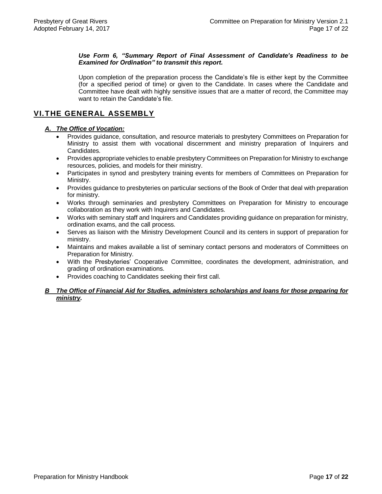#### *Use Form 6, "Summary Report of Final Assessment of Candidate's Readiness to be Examined for Ordination" to transmit this report.*

Upon completion of the preparation process the Candidate's file is either kept by the Committee (for a specified period of time) or given to the Candidate. In cases where the Candidate and Committee have dealt with highly sensitive issues that are a matter of record, the Committee may want to retain the Candidate's file.

## **VI.THE GENERAL ASSEMBLY**

#### *A. The Office of Vocation:*

- Provides guidance, consultation, and resource materials to presbytery Committees on Preparation for Ministry to assist them with vocational discernment and ministry preparation of Inquirers and Candidates.
- Provides appropriate vehicles to enable presbytery Committees on Preparation for Ministry to exchange resources, policies, and models for their ministry.
- Participates in synod and presbytery training events for members of Committees on Preparation for Ministry.
- Provides guidance to presbyteries on particular sections of the Book of Order that deal with preparation for ministry.
- Works through seminaries and presbytery Committees on Preparation for Ministry to encourage collaboration as they work with Inquirers and Candidates.
- Works with seminary staff and Inquirers and Candidates providing guidance on preparation for ministry, ordination exams, and the call process.
- Serves as liaison with the Ministry Development Council and its centers in support of preparation for ministry.
- Maintains and makes available a list of seminary contact persons and moderators of Committees on Preparation for Ministry.
- With the Presbyteries' Cooperative Committee, coordinates the development, administration, and grading of ordination examinations.
- Provides coaching to Candidates seeking their first call.

#### *B The Office of Financial Aid for Studies, administers scholarships and loans for those preparing for ministry.*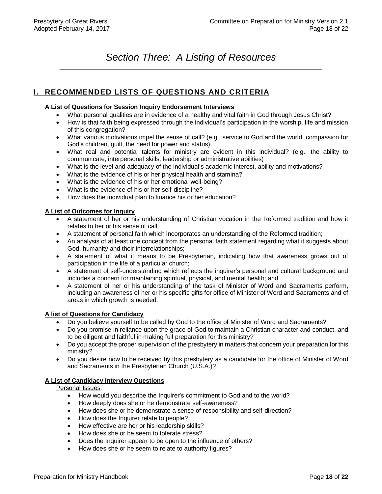*Section Three: A Listing of Resources*

## **I. RECOMMENDED LISTS OF QUESTIONS AND CRITERIA**

#### **A List of Questions for Session Inquiry Endorsement Interviews**

- What personal qualities are in evidence of a healthy and vital faith in God through Jesus Christ?
- How is that faith being expressed through the individual's participation in the worship, life and mission of this congregation?
- What various motivations impel the sense of call? (e.g., service to God and the world, compassion for God's children, guilt, the need for power and status)
- What real and potential talents for ministry are evident in this individual? (e.g., the ability to communicate, interpersonal skills, leadership or administrative abilities)
- What is the level and adequacy of the individual's academic interest, ability and motivations?
- What is the evidence of his or her physical health and stamina?
- What is the evidence of his or her emotional well-being?
- What is the evidence of his or her self-discipline?
- How does the individual plan to finance his or her education?

#### **A List of Outcomes for Inquiry**

- A statement of her or his understanding of Christian vocation in the Reformed tradition and how it relates to her or his sense of call;
- A statement of personal faith which incorporates an understanding of the Reformed tradition;
- An analysis of at least one concept from the personal faith statement regarding what it suggests about God, humanity and their interrelationships;
- A statement of what it means to be Presbyterian, indicating how that awareness grows out of participation in the life of a particular church;
- A statement of self-understanding which reflects the inquirer's personal and cultural background and includes a concern for maintaining spiritual, physical, and mental health; and
- A statement of her or his understanding of the task of Minister of Word and Sacraments perform, including an awareness of her or his specific gifts for office of Minister of Word and Sacraments and of areas in which growth is needed.

#### **A list of Questions for Candidacy**

- Do you believe yourself to be called by God to the office of Minister of Word and Sacraments?
- Do you promise in reliance upon the grace of God to maintain a Christian character and conduct, and to be diligent and faithful in making full preparation for this ministry?
- Do you accept the proper supervision of the presbytery in matters that concern your preparation for this ministry?
- Do you desire now to be received by this presbytery as a candidate for the office of Minister of Word and Sacraments in the Presbyterian Church (U.S.A.)?

#### **A List of Candidacy Interview Questions**

Personal Issues:

- How would you describe the Inquirer's commitment to God and to the world?
- How deeply does she or he demonstrate self-awareness?
- How does she or he demonstrate a sense of responsibility and self-direction?
- How does the Inquirer relate to people?
- How effective are her or his leadership skills?
- How does she or he seem to tolerate stress?
- Does the Inquirer appear to be open to the influence of others?
- How does she or he seem to relate to authority figures?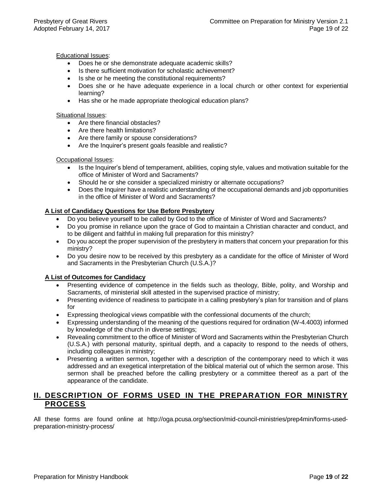#### Educational Issues:

- Does he or she demonstrate adequate academic skills?
- Is there sufficient motivation for scholastic achievement?
- Is she or he meeting the constitutional requirements?
- Does she or he have adequate experience in a local church or other context for experiential learning?
- Has she or he made appropriate theological education plans?

#### Situational Issues:

- Are there financial obstacles?
- Are there health limitations?
- Are there family or spouse considerations?
- Are the Inquirer's present goals feasible and realistic?

#### Occupational Issues:

- Is the Inquirer's blend of temperament, abilities, coping style, values and motivation suitable for the office of Minister of Word and Sacraments?
- Should he or she consider a specialized ministry or alternate occupations?
- Does the Inquirer have a realistic understanding of the occupational demands and job opportunities in the office of Minister of Word and Sacraments?

#### **A List of Candidacy Questions for Use Before Presbytery**

- Do you believe yourself to be called by God to the office of Minister of Word and Sacraments?
- Do you promise in reliance upon the grace of God to maintain a Christian character and conduct, and to be diligent and faithful in making full preparation for this ministry?
- Do you accept the proper supervision of the presbytery in matters that concern your preparation for this ministry?
- Do you desire now to be received by this presbytery as a candidate for the office of Minister of Word and Sacraments in the Presbyterian Church (U.S.A.)?

#### **A List of Outcomes for Candidacy**

- Presenting evidence of competence in the fields such as theology, Bible, polity, and Worship and Sacraments, of ministerial skill attested in the supervised practice of ministry;
- Presenting evidence of readiness to participate in a calling presbytery's plan for transition and of plans for
- Expressing theological views compatible with the confessional documents of the church;
- Expressing understanding of the meaning of the questions required for ordination (W-4.4003) informed by knowledge of the church in diverse settings;
- Revealing commitment to the office of Minister of Word and Sacraments within the Presbyterian Church (U.S.A.) with personal maturity, spiritual depth, and a capacity to respond to the needs of others, including colleagues in ministry;
- Presenting a written sermon, together with a description of the contemporary need to which it was addressed and an exegetical interpretation of the biblical material out of which the sermon arose. This sermon shall be preached before the calling presbytery or a committee thereof as a part of the appearance of the candidate.

### **II. DESCRIPTION OF FORMS USED IN THE PREPARATION FOR MINISTRY PROCESS**

All these forms are found online at http://oga.pcusa.org/section/mid-council-ministries/prep4min/forms-usedpreparation-ministry-process/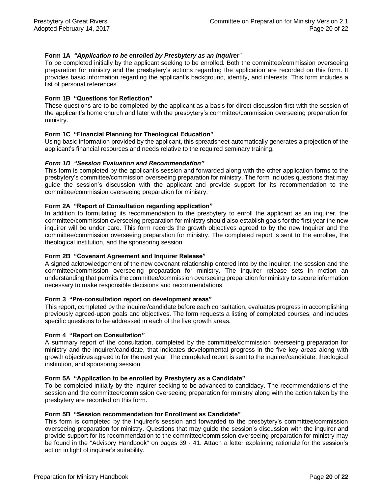#### **Form 1A** *"Application to be enrolled by Presbytery as an Inquirer"*

To be completed initially by the applicant seeking to be enrolled. Both the committee/commission overseeing preparation for ministry and the presbytery's actions regarding the application are recorded on this form. It provides basic information regarding the applicant's background, identity, and interests. This form includes a list of personal references.

#### **Form 1B "Questions for Reflection"**

These questions are to be completed by the applicant as a basis for direct discussion first with the session of the applicant's home church and later with the presbytery's committee/commission overseeing preparation for ministry.

#### **Form 1C "Financial Planning for Theological Education"**

Using basic information provided by the applicant, this spreadsheet automatically generates a projection of the applicant's financial resources and needs relative to the required seminary training.

#### *Form 1D "Session Evaluation and Recommendation"*

This form is completed by the applicant's session and forwarded along with the other application forms to the presbytery's committee/commission overseeing preparation for ministry. The form includes questions that may guide the session's discussion with the applicant and provide support for its recommendation to the committee/commission overseeing preparation for ministry.

#### **Form 2A "Report of Consultation regarding application"**

In addition to formulating its recommendation to the presbytery to enroll the applicant as an inquirer, the committee/commission overseeing preparation for ministry should also establish goals for the first year the new inquirer will be under care. This form records the growth objectives agreed to by the new Inquirer and the committee/commission overseeing preparation for ministry. The completed report is sent to the enrollee, the theological institution, and the sponsoring session.

#### **Form 2B "Covenant Agreement and Inquirer Release"**

A signed acknowledgement of the new covenant relationship entered into by the inquirer, the session and the committee/commission overseeing preparation for ministry. The inquirer release sets in motion an understanding that permits the committee/commission overseeing preparation for ministry to secure information necessary to make responsible decisions and recommendations.

#### **Form 3 "Pre-consultation report on development areas"**

This report, completed by the inquirer/candidate before each consultation, evaluates progress in accomplishing previously agreed-upon goals and objectives. The form requests a listing of completed courses, and includes specific questions to be addressed in each of the five growth areas.

#### **Form 4 "Report on Consultation"**

A summary report of the consultation, completed by the committee/commission overseeing preparation for ministry and the inquirer/candidate, that indicates developmental progress in the five key areas along with growth objectives agreed to for the next year. The completed report is sent to the inquirer/candidate, theological institution, and sponsoring session.

#### **Form 5A "Application to be enrolled by Presbytery as a Candidate"**

To be completed initially by the Inquirer seeking to be advanced to candidacy. The recommendations of the session and the committee/commission overseeing preparation for ministry along with the action taken by the presbytery are recorded on this form.

#### **Form 5B "Session recommendation for Enrollment as Candidate"**

This form is completed by the inquirer's session and forwarded to the presbytery's committee/commission overseeing preparation for ministry. Questions that may guide the session's discussion with the inquirer and provide support for its recommendation to the committee/commission overseeing preparation for ministry may be found in the "Advisory Handbook" on pages 39 - 41. Attach a letter explaining rationale for the session's action in light of inquirer's suitability.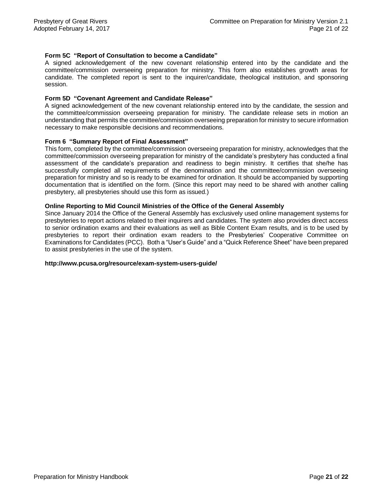#### **Form 5C "Report of Consultation to become a Candidate"**

A signed acknowledgement of the new covenant relationship entered into by the candidate and the committee/commission overseeing preparation for ministry. This form also establishes growth areas for candidate. The completed report is sent to the inquirer/candidate, theological institution, and sponsoring session.

#### **Form 5D "Covenant Agreement and Candidate Release"**

A signed acknowledgement of the new covenant relationship entered into by the candidate, the session and the committee/commission overseeing preparation for ministry. The candidate release sets in motion an understanding that permits the committee/commission overseeing preparation for ministry to secure information necessary to make responsible decisions and recommendations.

#### **[Form](http://www.pcusa.org/resource/form-6-summary-report-final-assessment/) 6 "Summary Report of Final Assessment"**

This form, completed by the committee/commission overseeing preparation for ministry, acknowledges that the committee/commission overseeing preparation for ministry of the candidate's presbytery has conducted a final assessment of the candidate's preparation and readiness to begin ministry. It certifies that she/he has successfully completed all requirements of the denomination and the committee/commission overseeing preparation for ministry and so is ready to be examined for ordination. It should be accompanied by supporting documentation that is identified on the form. (Since this report may need to be shared with another calling presbytery, all presbyteries should use this form as issued.)

#### **Online Reporting to Mid Council Ministries of the Office of the General Assembly**

Since January 2014 the Office of the General Assembly has exclusively used online management systems for presbyteries to report actions related to their inquirers and candidates. The system also provides direct access to senior ordination exams and their evaluations as well as Bible Content Exam results, and is to be used by presbyteries to report their ordination exam readers to the Presbyteries' Cooperative Committee on Examinations for Candidates (PCC). Both a "User's Guide" and a "Quick Reference Sheet" have been prepared to assist presbyteries in the use of the system.

#### **http://www.pcusa.org/resource/exam-system-users-guide/**